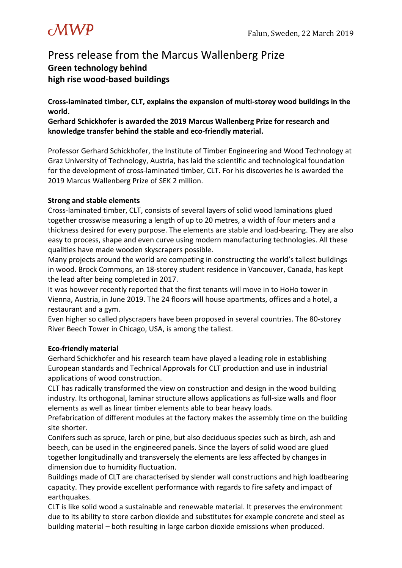# $\omega$ WP

# Press release from the Marcus Wallenberg Prize **Green technology behind high rise wood-based buildings**

**Cross-laminated timber, CLT, explains the expansion of multi-storey wood buildings in the world.**

**Gerhard Schickhofer is awarded the 2019 Marcus Wallenberg Prize for research and knowledge transfer behind the stable and eco-friendly material.**

Professor Gerhard Schickhofer, the Institute of Timber Engineering and Wood Technology at Graz University of Technology, Austria, has laid the scientific and technological foundation for the development of cross-laminated timber, CLT. For his discoveries he is awarded the 2019 Marcus Wallenberg Prize of SEK 2 million.

# **Strong and stable elements**

Cross-laminated timber, CLT, consists of several layers of solid wood laminations glued together crosswise measuring a length of up to 20 metres, a width of four meters and a thickness desired for every purpose. The elements are stable and load-bearing. They are also easy to process, shape and even curve using modern manufacturing technologies. All these qualities have made wooden skyscrapers possible.

Many projects around the world are competing in constructing the world's tallest buildings in wood. Brock Commons, an 18-storey student residence in Vancouver, Canada, has kept the lead after being completed in 2017.

It was however recently reported that the first tenants will move in to HoHo tower in Vienna, Austria, in June 2019. The 24 floors will house apartments, offices and a hotel, a restaurant and a gym.

Even higher so called plyscrapers have been proposed in several countries. The 80-storey River Beech Tower in Chicago, USA, is among the tallest.

# **Eco-friendly material**

Gerhard Schickhofer and his research team have played a leading role in establishing European standards and Technical Approvals for CLT production and use in industrial applications of wood construction.

CLT has radically transformed the view on construction and design in the wood building industry. Its orthogonal, laminar structure allows applications as full-size walls and floor elements as well as linear timber elements able to bear heavy loads.

Prefabrication of different modules at the factory makes the assembly time on the building site shorter.

Conifers such as spruce, larch or pine, but also deciduous species such as birch, ash and beech, can be used in the engineered panels. Since the layers of solid wood are glued together longitudinally and transversely the elements are less affected by changes in dimension due to humidity fluctuation.

Buildings made of CLT are characterised by slender wall constructions and high loadbearing capacity. They provide excellent performance with regards to fire safety and impact of earthquakes.

CLT is like solid wood a sustainable and renewable material. It preserves the environment due to its ability to store carbon dioxide and substitutes for example concrete and steel as building material – both resulting in large carbon dioxide emissions when produced.